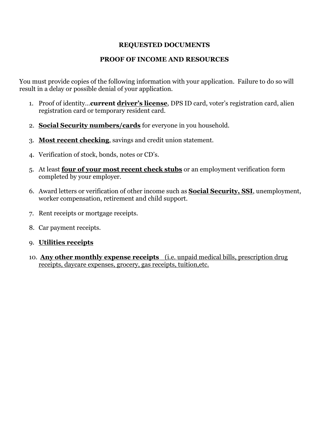# REQUESTED DOCUMENTS

# PROOF OF INCOME AND RESOURCES

You must provide copies of the following information with your application. Failure to do so will result in a delay or possible denial of your application.

- 1. Proof of identity...**current driver's license**, DPS ID card, voter's registration card, alien registration card or temporary resident card.
- 2. Social Security numbers/cards for everyone in you household.
- 3. Most recent checking, savings and credit union statement.
- 4. Verification of stock, bonds, notes or CD's.
- 5. At least four of your most recent check stubs or an employment verification form completed by your employer.
- 6. Award letters or verification of other income such as **Social Security, SSI**, unemployment, worker compensation, retirement and child support.
- 7. Rent receipts or mortgage receipts.
- 8. Car payment receipts.
- 9. Utilities receipts
- 10. Any other monthly expense receipts (i.e. unpaid medical bills, prescription drug receipts, daycare expenses, grocery, gas receipts, tuition,etc.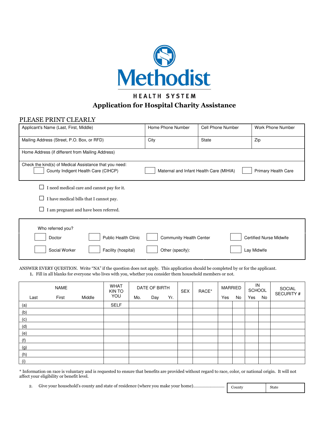

# **HEALTH SYSTEM** Application for Hospital Charity Assistance

## PLEASE PRINT CLEARLY

| Applicant's Name (Last, First, Middle)                                                        | Home Phone Number<br><b>Cell Phone Number</b> |  |                                |  |  |  |  |  |
|-----------------------------------------------------------------------------------------------|-----------------------------------------------|--|--------------------------------|--|--|--|--|--|
| Mailing Address (Street, P.O. Box, or RFD)                                                    | City<br>State<br>Zip                          |  |                                |  |  |  |  |  |
| Home Address (if different from Mailing Address)                                              |                                               |  |                                |  |  |  |  |  |
| Check the kind(s) of Medical Assistance that you need:<br>County Indigent Health Care (CIHCP) | Maternal and Infant Health Care (MIHIA)       |  | <b>Primary Health Care</b>     |  |  |  |  |  |
| I need medical care and cannot pay for it.                                                    |                                               |  |                                |  |  |  |  |  |
| I have medical bills that I cannot pay.                                                       |                                               |  |                                |  |  |  |  |  |
| I am pregnant and have been referred.                                                         |                                               |  |                                |  |  |  |  |  |
| Who referred you?                                                                             |                                               |  |                                |  |  |  |  |  |
| <b>Public Health Clinic</b><br>Doctor                                                         | <b>Community Health Center</b>                |  | <b>Certified Nurse Midwife</b> |  |  |  |  |  |
| Social Worker<br>Facility (hospital)                                                          | Other (specify):                              |  | Lay Midwife                    |  |  |  |  |  |

ANSWER EVERY QUESTION. Write "NA" if the question does not apply. This application should be completed by or for the applicant. 1. Fill in all blanks for everyone who lives with you, whether you consider them household members or not.

|      | <b>NAME</b> |        | <b>WHAT</b><br>KIN TO |     | DATE OF BIRTH |     | RACE*<br><b>SEX</b> |  | IN<br><b>MARRIED</b><br><b>SCHOOL</b> |    | <b>SOCIAL</b> |    |            |
|------|-------------|--------|-----------------------|-----|---------------|-----|---------------------|--|---------------------------------------|----|---------------|----|------------|
| Last | First       | Middle | YOU                   | Mo. | Day           | Yr. |                     |  | Yes                                   | No | Yes           | No | SECURITY # |
| (a)  |             |        | <b>SELF</b>           |     |               |     |                     |  |                                       |    |               |    |            |
| (b)  |             |        |                       |     |               |     |                     |  |                                       |    |               |    |            |
| (c)  |             |        |                       |     |               |     |                     |  |                                       |    |               |    |            |
| (d)  |             |        |                       |     |               |     |                     |  |                                       |    |               |    |            |
| (e)  |             |        |                       |     |               |     |                     |  |                                       |    |               |    |            |
| (f)  |             |        |                       |     |               |     |                     |  |                                       |    |               |    |            |
| (g)  |             |        |                       |     |               |     |                     |  |                                       |    |               |    |            |
| (h)  |             |        |                       |     |               |     |                     |  |                                       |    |               |    |            |
| (i)  |             |        |                       |     |               |     |                     |  |                                       |    |               |    |            |

\* Information on race is voluntary and is requested to ensure that benefits are provided without regard to race, color, or national origin. It will not affect your eligibility or benefit level.

2. Give your household's county and state of residence (where you make your home)……………………… County State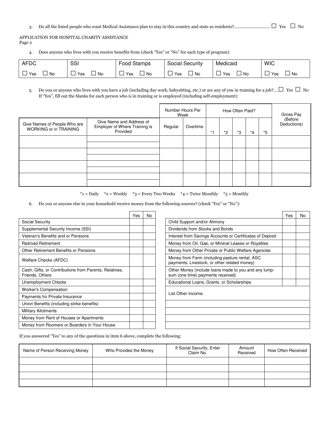## 3. Do all the listed people who want Medical Assistance plan to stay in this country and state as residents?............................... □ Yes □ No

APPLICATION FOR HOSPITAL CHARITY ASSISTANCE Page 2

4. Does anyone who lives with you receive benefits from (check "Yes" or "No" for each type of program):

| <b>AFDC</b>      | SSI        | Food Stamps                           | <b>Social Security</b> | Medicaid   | <b>WIC</b>       |  |
|------------------|------------|---------------------------------------|------------------------|------------|------------------|--|
| <b>Nc</b><br>Yes | `Yes<br>No | $\overline{\phantom{0}}$<br>Yes<br>No | Yes<br><b>No</b>       | 'Yes<br>No | <b>No</b><br>Yes |  |

5. Do you or anyone who lives with you have a job (including day work, babysitting, etc.) or are any of you in training for a job?.... $\Box$  Yes  $\Box$  No If "Yes", fill out the blanks for each person who is in training or is employed (including self-employment):

|                                                               |                                                                       |         | Number Hours Per<br>Week |       | How Often Paid? |    |         |    | Gross Pay              |
|---------------------------------------------------------------|-----------------------------------------------------------------------|---------|--------------------------|-------|-----------------|----|---------|----|------------------------|
| Give Names of People Who are<br><b>WORKING or in TRAINING</b> | Give Name and Address of<br>Employer of Where Training is<br>Provided | Regular | Overtime                 | $* -$ | *2              | *3 | $*_{4}$ | *5 | (Before<br>Deductions) |
|                                                               |                                                                       |         |                          |       |                 |    |         |    |                        |
|                                                               |                                                                       |         |                          |       |                 |    |         |    |                        |
|                                                               |                                                                       |         |                          |       |                 |    |         |    |                        |
|                                                               |                                                                       |         |                          |       |                 |    |         |    |                        |

\*1 = Daily \*2 = Weekly \*3 = Every Two Weeks \*4 = Twice Monthly \*5 = Monthly

6. Do you or anyone else in your household receive money from the following sources? (check "Yes" or "No"):

|                                                                           | Yes | No |
|---------------------------------------------------------------------------|-----|----|
| Social Security                                                           |     |    |
| Supplemental Security Income (SSI)                                        |     |    |
| Veteran's Benefits and or Pensions                                        |     |    |
| <b>Railroad Retirement</b>                                                |     |    |
| Other Retirement Benefits or Pensions                                     |     |    |
| Welfare Checks (AFDC)                                                     |     |    |
| Cash, Gifts, or Contributions from Parents, Relatives,<br>Friends, Others |     |    |
| Unemployment Checks                                                       |     |    |
| <b>Worker's Compensation</b>                                              |     |    |
| Payments fro Private Insurance                                            |     |    |
| Union Benefits (including strike benefits)                                |     |    |
| <b>Military Allotments</b>                                                |     |    |
| Money from Rent of Houses or Apartments                                   |     |    |
| Money from Roomers or Boarders in Your House                              |     |    |

| Yes | No. |                                                                                                | Yes | No |
|-----|-----|------------------------------------------------------------------------------------------------|-----|----|
|     |     | Child Support and/or Alimony                                                                   |     |    |
|     |     | Dividends from Stocks and Bonds                                                                |     |    |
|     |     | Interest from Savings Accounts or Certificates of Deposit                                      |     |    |
|     |     | Money from Oil, Gas, or Mineral Leases or Royalties                                            |     |    |
|     |     | Money from Other Private or Public Welfare Agencies                                            |     |    |
|     |     | Money from Farm (including pasture rental, ASC<br>payments, Livestock, or other related money) |     |    |
|     |     | Other Money (include loans made to you and any lump-<br>sum (one time) payments received)      |     |    |
|     |     | Educational Loans, Grants, or Scholarships                                                     |     |    |
|     |     | List Other Income:                                                                             |     |    |
|     |     |                                                                                                |     |    |
|     |     |                                                                                                |     |    |
|     |     |                                                                                                |     |    |
|     |     |                                                                                                |     |    |

If you answered "Yes" to any of the questions in item 6 above, complete the following:

| Name of Person Receiving Money | Who Provides the Money | If Social Security, Enter<br>Claim No. | Amount<br>Received | How Often Received |
|--------------------------------|------------------------|----------------------------------------|--------------------|--------------------|
|                                |                        |                                        |                    |                    |
|                                |                        |                                        |                    |                    |
|                                |                        |                                        |                    |                    |
|                                |                        |                                        |                    |                    |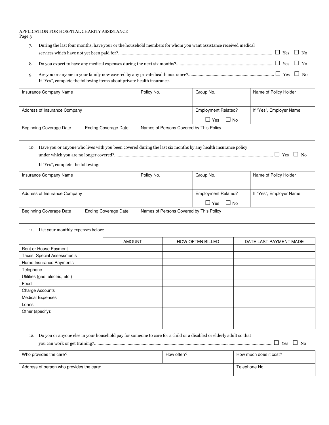# APPLICATION FOR HOSPITAL CHARITY ASSISTANCE

Page 3

- 7. During the last four months, have your or the household members for whom you want assistance received medical services which have not yet been paid for?..................................................................................................................................... □ Yes □ No 8. Do you expect to have any medical expenses during the next six months?....................................................................................□ Yes □ No
- 9. Are you or anyone in your family now covered by any private health insurance?.......................................................................... □ Yes □ No If "Yes", complete the following items about private health insurance.

| Insurance Company Name       |                             | Policy No.                              | Group No.                  | Name of Policy Holder   |
|------------------------------|-----------------------------|-----------------------------------------|----------------------------|-------------------------|
|                              |                             |                                         |                            |                         |
| Address of Insurance Company |                             |                                         | <b>Employment Related?</b> | If "Yes", Employer Name |
|                              |                             |                                         | $\Box$ No<br>$\Box$ Yes    |                         |
| Beginning Coverage Date      | <b>Ending Coverage Date</b> | Names of Persons Covered by This Policy |                            |                         |
|                              |                             |                                         |                            |                         |

- 10. Have you or anyone who lives with you been covered during the last six months by any health insurance policy under which you are no longer covered?......................................................................................................................................... □ Yes □ No
	- If "Yes", complete the following:

| Insurance Company Name         |                             | Policy No.                              | Group No.                  | Name of Policy Holder   |
|--------------------------------|-----------------------------|-----------------------------------------|----------------------------|-------------------------|
|                                |                             |                                         |                            |                         |
| Address of Insurance Company   |                             |                                         | <b>Employment Related?</b> | If "Yes", Employer Name |
|                                |                             |                                         | $\Box$ No<br>l Yes         |                         |
| <b>Beginning Coverage Date</b> | <b>Ending Coverage Date</b> | Names of Persons Covered by This Policy |                            |                         |
|                                |                             |                                         |                            |                         |

11. List your monthly expenses below:

|                                 | <b>AMOUNT</b> | <b>HOW OFTEN BILLED</b> | DATE LAST PAYMENT MADE |
|---------------------------------|---------------|-------------------------|------------------------|
| Rent or House Payment           |               |                         |                        |
| Taxes, Special Assessments      |               |                         |                        |
| Home Insurance Payments         |               |                         |                        |
| Telephone                       |               |                         |                        |
| Utilities (gas, electric, etc.) |               |                         |                        |
| Food                            |               |                         |                        |
| <b>Charge Accounts</b>          |               |                         |                        |
| <b>Medical Expenses</b>         |               |                         |                        |
| Loans                           |               |                         |                        |
| Other (specify):                |               |                         |                        |
|                                 |               |                         |                        |
|                                 |               |                         |                        |

12. Do you or anyone else in your household pay for someone to care for a child or a disabled or elderly adult so that

you can work or get training?.......................................................................................................................................................... □ Yes □ No

| Who provides the care?                   | How often? | How much does it cost? |
|------------------------------------------|------------|------------------------|
| Address of person who provides the care: |            | Telephone No.          |